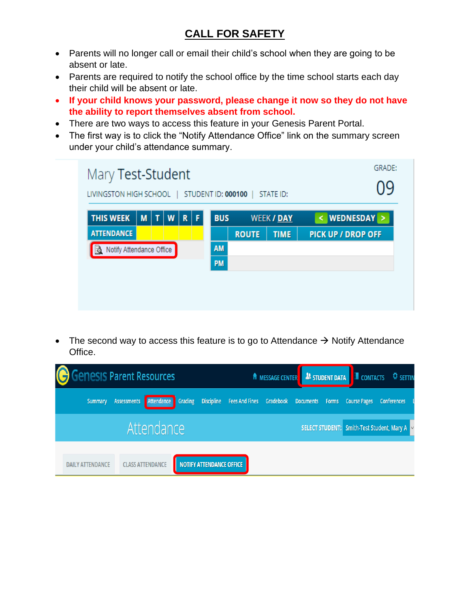## **CALL FOR SAFETY**

- Parents will no longer call or email their child's school when they are going to be absent or late.
- Parents are required to notify the school office by the time school starts each day their child will be absent or late.
- **If your child knows your password, please change it now so they do not have the ability to report themselves absent from school.**
- There are two ways to access this feature in your Genesis Parent Portal.
- The first way is to click the "Notify Attendance Office" link on the summary screen under your child's attendance summary.

| Mary Test-Student<br>STATE ID:<br>STUDENT ID: 000100<br>LIVINGSTON HIGH SCHOOL |   |   |   |             |   |            |              | <b>GRADE:</b>     |                           |
|--------------------------------------------------------------------------------|---|---|---|-------------|---|------------|--------------|-------------------|---------------------------|
| <b>THIS WEEK</b>                                                               | M | т | W | $\mathbf R$ | F | <b>BUS</b> |              | <b>WEEK / DAY</b> | WEDNESDAY ><br>⋖          |
| <b>ATTENDANCE</b>                                                              |   |   |   |             |   |            | <b>ROUTE</b> | <b>TIME</b>       | <b>PICK UP / DROP OFF</b> |
| Notify Attendance Office<br>R.                                                 |   |   |   | <b>AM</b>   |   |            |              |                   |                           |
|                                                                                |   |   |   |             |   | <b>PM</b>  |              |                   |                           |

• The second way to access this feature is to go to Attendance  $\rightarrow$  Notify Attendance Office.

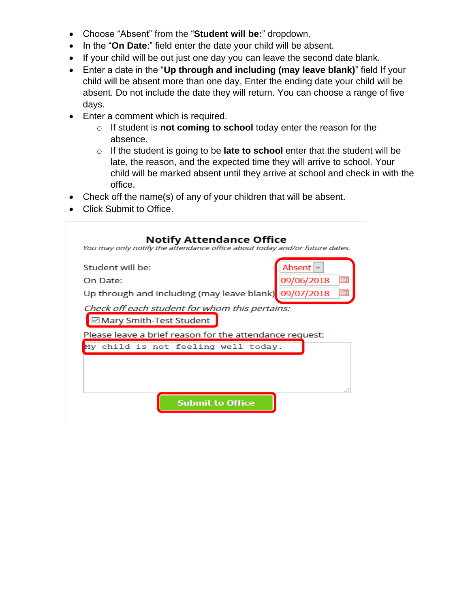- Choose "Absent" from the "**Student will be:**" dropdown.
- In the "**On Date**:" field enter the date your child will be absent.
- If your child will be out just one day you can leave the second date blank.
- Enter a date in the "**Up through and including (may leave blank)**" field If your child will be absent more than one day, Enter the ending date your child will be absent. Do not include the date they will return. You can choose a range of five days.
- Enter a comment which is required.
	- o If student is **not coming to school** today enter the reason for the absence.
	- o If the student is going to be **late to school** enter that the student will be late, the reason, and the expected time they will arrive to school. Your child will be marked absent until they arrive at school and check in with the office.
- Check off the name(s) of any of your children that will be absent.
- Click Submit to Office.

| Student will be: |                                                                             | Absent     |    |
|------------------|-----------------------------------------------------------------------------|------------|----|
| On Date:         |                                                                             | 09/06/2018 | ШĦ |
|                  | Up through and including (may leave blank)                                  | 09/07/2018 | 亜田 |
|                  | Check off each student for whom this pertains:<br>⊠ Mary Smith-Test Student |            |    |
|                  | Please leave a brief reason for the attendance request:                     |            |    |
|                  | My child is not feeling well today.                                         |            |    |
|                  |                                                                             |            |    |
|                  |                                                                             |            |    |